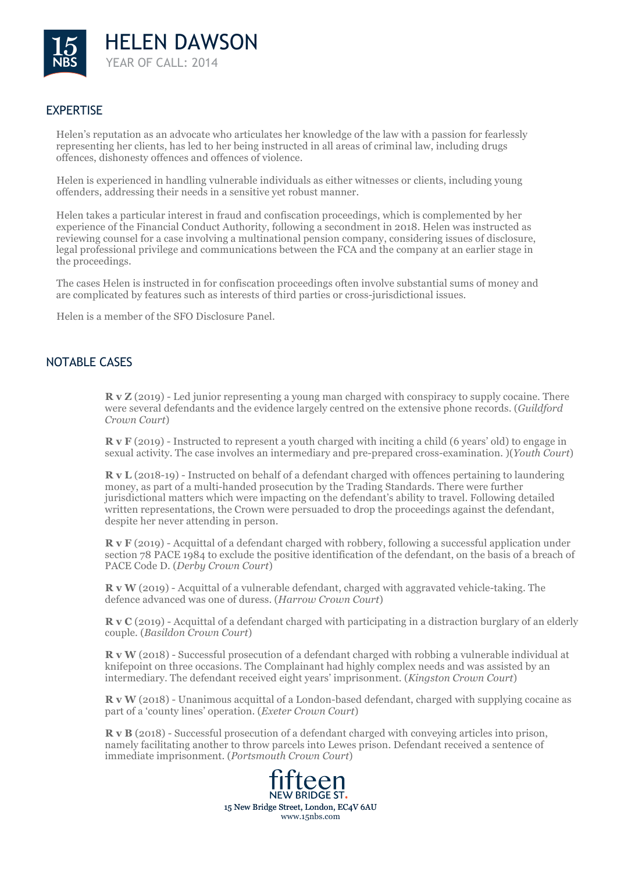

## **EXPERTISE**

Helen's reputation as an advocate who articulates her knowledge of the law with a passion for fearlessly representing her clients, has led to her being instructed in all areas of criminal law, including drugs offences, dishonesty offences and offences of violence.

Helen is experienced in handling vulnerable individuals as either witnesses or clients, including young offenders, addressing their needs in a sensitive yet robust manner.

Helen takes a particular interest in fraud and confiscation proceedings, which is complemented by her experience of the Financial Conduct Authority, following a secondment in 2018. Helen was instructed as reviewing counsel for a case involving a multinational pension company, considering issues of disclosure, legal professional privilege and communications between the FCA and the company at an earlier stage in the proceedings.

The cases Helen is instructed in for confiscation proceedings often involve substantial sums of money and are complicated by features such as interests of third parties or cross-jurisdictional issues.

Helen is a member of the SFO Disclosure Panel.

### NOTABLE CASES

**R v Z** (2019) - Led junior representing a young man charged with conspiracy to supply cocaine. There were several defendants and the evidence largely centred on the extensive phone records. (*Guildford Crown Court*)

**R v F** (2019) - Instructed to represent a youth charged with inciting a child (6 years' old) to engage in sexual activity. The case involves an intermediary and pre-prepared cross-examination. )(*Youth Court*)

**R v L** (2018-19) - Instructed on behalf of a defendant charged with offences pertaining to laundering money, as part of a multi-handed prosecution by the Trading Standards. There were further jurisdictional matters which were impacting on the defendant's ability to travel. Following detailed written representations, the Crown were persuaded to drop the proceedings against the defendant, despite her never attending in person.

**R v F** (2019) - Acquittal of a defendant charged with robbery, following a successful application under section 78 PACE 1984 to exclude the positive identification of the defendant, on the basis of a breach of PACE Code D. (*Derby Crown Court*)

**R v W** (2019) - Acquittal of a vulnerable defendant, charged with aggravated vehicle-taking. The defence advanced was one of duress. (*Harrow Crown Court*)

**R v C** (2019) - Acquittal of a defendant charged with participating in a distraction burglary of an elderly couple. (*Basildon Crown Court*)

**R v W** (2018) - Successful prosecution of a defendant charged with robbing a vulnerable individual at knifepoint on three occasions. The Complainant had highly complex needs and was assisted by an intermediary. The defendant received eight years' imprisonment. (*Kingston Crown Court*)

**R v W** (2018) - Unanimous acquittal of a London-based defendant, charged with supplying cocaine as part of a 'county lines' operation. (*Exeter Crown Court*)

**R v B** (2018) - Successful prosecution of a defendant charged with conveying articles into prison, namely facilitating another to throw parcels into Lewes prison. Defendant received a sentence of immediate imprisonment. (*Portsmouth Crown Court*)

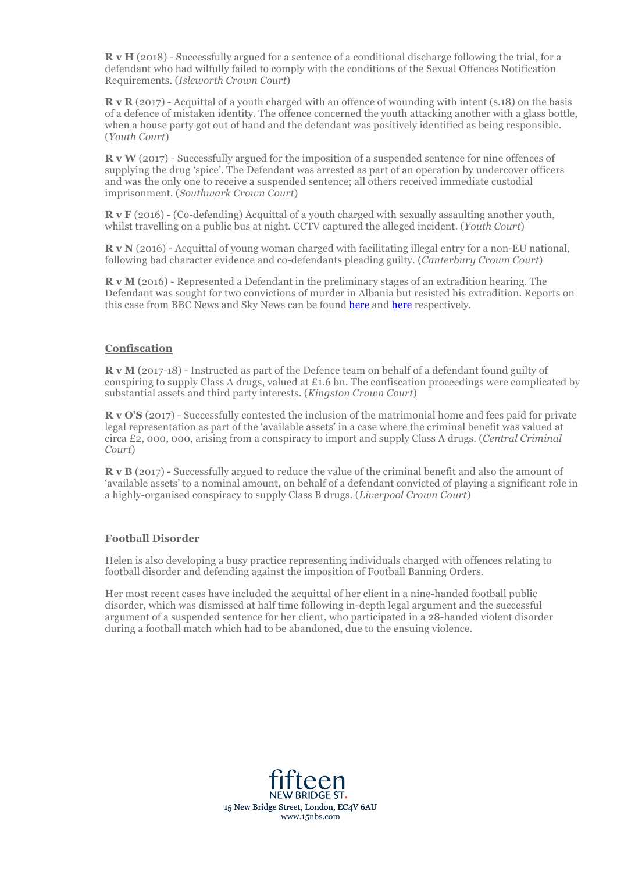**R v H** (2018) - Successfully argued for a sentence of a conditional discharge following the trial, for a defendant who had wilfully failed to comply with the conditions of the Sexual Offences Notification Requirements. (*Isleworth Crown Court*)

**R v R** (2017) - Acquittal of a youth charged with an offence of wounding with intent (s.18) on the basis of a defence of mistaken identity. The offence concerned the youth attacking another with a glass bottle, when a house party got out of hand and the defendant was positively identified as being responsible. (*Youth Court*)

**R v W** (2017) - Successfully argued for the imposition of a suspended sentence for nine offences of supplying the drug 'spice'. The Defendant was arrested as part of an operation by undercover officers and was the only one to receive a suspended sentence; all others received immediate custodial imprisonment. (*Southwark Crown Court*)

**R v F** (2016) - (Co-defending) Acquittal of a youth charged with sexually assaulting another youth, whilst travelling on a public bus at night. CCTV captured the alleged incident. (*Youth Court*)

**R v N** (2016) - Acquittal of young woman charged with facilitating illegal entry for a non-EU national, following bad character evidence and co-defendants pleading guilty. (*Canterbury Crown Court*)

**R v M** (2016) - Represented a Defendant in the preliminary stages of an extradition hearing. The Defendant was sought for two convictions of murder in Albania but resisted his extradition. Reports on this case from BBC News and Sky News can be found here and here respectively.

#### **Confiscation**

**R v M** (2017-18) - Instructed as part of the Defence team on behalf of a defendant found guilty of conspiring to supply Class A drugs, valued at £1.6 bn. The confiscation proceedings were complicated by substantial assets and third party interests. (*Kingston Crown Court*)

**R v O'S** (2017) - Successfully contested the inclusion of the matrimonial home and fees paid for private legal representation as part of the 'available assets' in a case where the criminal benefit was valued at circa £2, 000, 000, arising from a conspiracy to import and supply Class A drugs. (*Central Criminal Court*)

**R v B** (2017) - Successfully argued to reduce the value of the criminal benefit and also the amount of 'available assets' to a nominal amount, on behalf of a defendant convicted of playing a significant role in a highly-organised conspiracy to supply Class B drugs. (*Liverpool Crown Court*)

#### **Football Disorder**

Helen is also developing a busy practice representing individuals charged with offences relating to football disorder and defending against the imposition of Football Banning Orders.

Her most recent cases have included the acquittal of her client in a nine-handed football public disorder, which was dismissed at half time following in-depth legal argument and the successful argument of a suspended sentence for her client, who participated in a 28-handed violent disorder during a football match which had to be abandoned, due to the ensuing violence.